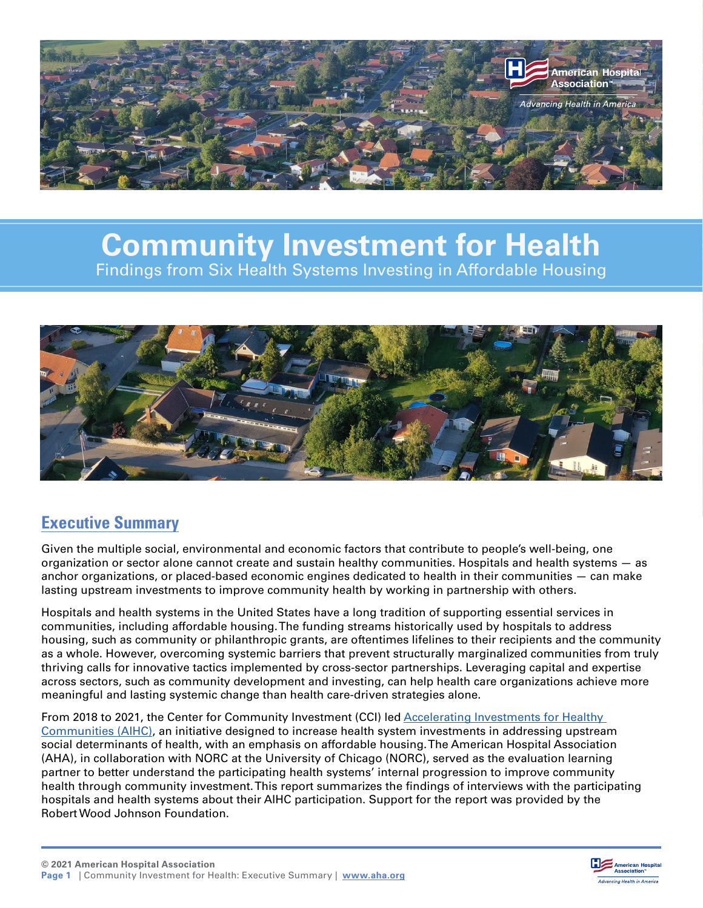

# **Community Investment for Health**  Findings from Six Health Systems Investing in Affordable Housing



## **Executive Summary**

Given the multiple social, environmental and economic factors that contribute to people's well-being, one organization or sector alone cannot create and sustain healthy communities. Hospitals and health systems — as anchor organizations, or placed-based economic engines dedicated to health in their communities — can make lasting upstream investments to improve community health by working in partnership with others.

Hospitals and health systems in the United States have a long tradition of supporting essential services in communities, including affordable housing. The funding streams historically used by hospitals to address housing, such as community or philanthropic grants, are oftentimes lifelines to their recipients and the community as a whole. However, overcoming systemic barriers that prevent structurally marginalized communities from truly thriving calls for innovative tactics implemented by cross-sector partnerships. Leveraging capital and expertise across sectors, such as community development and investing, can help health care organizations achieve more meaningful and lasting systemic change than health care-driven strategies alone.

From 2018 to 2021, the Center for Community Investment (CCI) led [Accelerating Investments for Healthy](https://centerforcommunityinvestment.org/accelerating-investments-healthy-communities)  [Communities \(AIHC\),](https://centerforcommunityinvestment.org/accelerating-investments-healthy-communities) an initiative designed to increase health system investments in addressing upstream social determinants of health, with an emphasis on affordable housing. The American Hospital Association (AHA), in collaboration with NORC at the University of Chicago (NORC), served as the evaluation learning partner to better understand the participating health systems' internal progression to improve community health through community investment. This report summarizes the findings of interviews with the participating hospitals and health systems about their AIHC participation. Support for the report was provided by the Robert Wood Johnson Foundation.